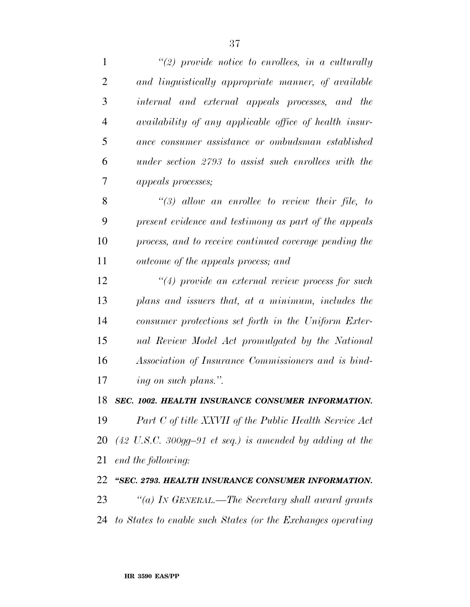| $\mathbf{1}$   | $\lq(2)$ provide notice to enrollees, in a culturally                |
|----------------|----------------------------------------------------------------------|
| $\overline{2}$ | and linguistically appropriate manner, of available                  |
| 3              | internal and external appeals processes, and the                     |
| $\overline{4}$ | <i>availability of any applicable office of health insur-</i>        |
| 5              | ance consumer assistance or ombudsman established                    |
| 6              | under section 2793 to assist such enrollees with the                 |
| 7              | <i>appeals processes;</i>                                            |
| 8              | $\lq(3)$ allow an enrollee to review their file, to                  |
| 9              | present evidence and testimony as part of the appeals                |
| 10             | process, and to receive continued coverage pending the               |
| 11             | outcome of the appeals process; and                                  |
| 12             | $\lq(4)$ provide an external review process for such                 |
| 13             | plans and issuers that, at a minimum, includes the                   |
| 14             | consumer protections set forth in the Uniform Exter-                 |
| 15             | nal Review Model Act promulgated by the National                     |
| 16             | Association of Insurance Commissioners and is bind-                  |
| 17             | ing on such plans.".                                                 |
| 18             | SEC. 1002. HEALTH INSURANCE CONSUMER INFORMATION.                    |
| 19             | Part C of title XXVII of the Public Health Service Act               |
| 20             | $(42 \text{ U.S.C. } 300$ gg-91 et seq.) is amended by adding at the |
| 21             | end the following:                                                   |
| 22             | "SEC. 2793. HEALTH INSURANCE CONSUMER INFORMATION.                   |
| 23             | "(a) IN GENERAL.—The Secretary shall award grants                    |
| 24             | to States to enable such States (or the Exchanges operating          |
|                |                                                                      |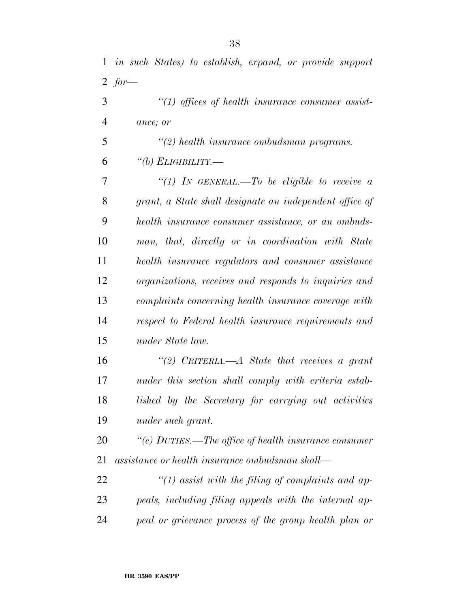*''(1) offices of health insurance consumer assist-ance; or* 

 *''(2) health insurance ombudsman programs. ''(b) ELIGIBILITY.—* 

 *''(1) IN GENERAL.—To be eligible to receive a grant, a State shall designate an independent office of health insurance consumer assistance, or an ombuds- man, that, directly or in coordination with State health insurance regulators and consumer assistance organizations, receives and responds to inquiries and complaints concerning health insurance coverage with respect to Federal health insurance requirements and under State law.* 

 *''(2) CRITERIA.—A State that receives a grant under this section shall comply with criteria estab- lished by the Secretary for carrying out activities under such grant.* 

 *''(c) DUTIES.—The office of health insurance consumer assistance or health insurance ombudsman shall—* 

 *''(1) assist with the filing of complaints and ap- peals, including filing appeals with the internal ap-peal or grievance process of the group health plan or*